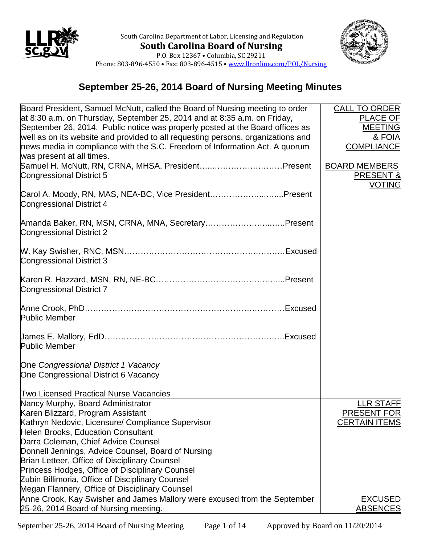



Phone: 803-896-4550 • Fax: 803-896-4515 • [www.llronline.com/POL/Nursing](http://www.llronline.com/POL/Nursing)

## **September 25-26, 2014 Board of Nursing Meeting Minutes**

| Board President, Samuel McNutt, called the Board of Nursing meeting to order              | <b>CALL TO ORDER</b> |
|-------------------------------------------------------------------------------------------|----------------------|
| at 8:30 a.m. on Thursday, September 25, 2014 and at 8:35 a.m. on Friday,                  | <b>PLACE OF</b>      |
| September 26, 2014. Public notice was properly posted at the Board offices as             | <b>MEETING</b>       |
| well as on its website and provided to all requesting persons, organizations and          | & FOIA               |
| news media in compliance with the S.C. Freedom of Information Act. A quorum               | <b>COMPLIANCE</b>    |
| was present at all times.                                                                 |                      |
| Samuel H. McNutt, RN, CRNA, MHSA, PresidentPresent                                        | <b>BOARD MEMBERS</b> |
| Congressional District 5                                                                  | PRESENT &            |
|                                                                                           | <b>VOTING</b>        |
| Carol A. Moody, RN, MAS, NEA-BC, Vice PresidentPresent<br><b>Congressional District 4</b> |                      |
| Amanda Baker, RN, MSN, CRNA, MNA, SecretaryPresent<br><b>Congressional District 2</b>     |                      |
| <b>Congressional District 3</b>                                                           |                      |
| Congressional District 7                                                                  |                      |
| <b>Public Member</b>                                                                      |                      |
| <b>Public Member</b>                                                                      |                      |
| One Congressional District 1 Vacancy<br>One Congressional District 6 Vacancy              |                      |
| <b>Two Licensed Practical Nurse Vacancies</b>                                             |                      |
| Nancy Murphy, Board Administrator                                                         | <b>LLR STAFF</b>     |
| Karen Blizzard, Program Assistant                                                         | <b>PRESENT FOR</b>   |
| Kathryn Nedovic, Licensure/ Compliance Supervisor                                         | <b>CERTAIN ITEMS</b> |
| Helen Brooks, Education Consultant                                                        |                      |
| Darra Coleman, Chief Advice Counsel                                                       |                      |
| Donnell Jennings, Advice Counsel, Board of Nursing                                        |                      |
| Brian Letteer, Office of Disciplinary Counsel                                             |                      |
| Princess Hodges, Office of Disciplinary Counsel                                           |                      |
| Zubin Billimoria, Office of Disciplinary Counsel                                          |                      |
| Megan Flannery, Office of Disciplinary Counsel                                            |                      |
| Anne Crook, Kay Swisher and James Mallory were excused from the September                 | <b>EXCUSED</b>       |
| 25-26, 2014 Board of Nursing meeting.                                                     | <b>ABSENCES</b>      |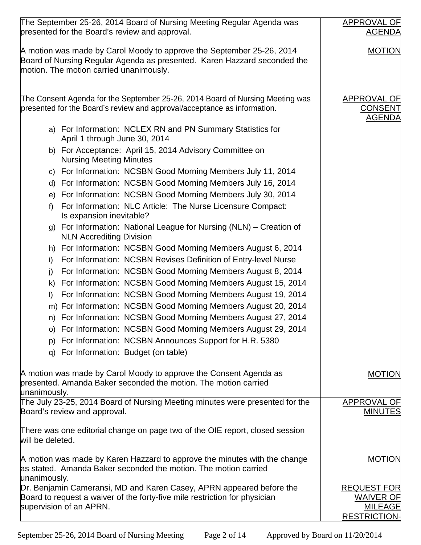| The September 25-26, 2014 Board of Nursing Meeting Regular Agenda was                                                                                                                        | APPROVAL OF                                                                     |
|----------------------------------------------------------------------------------------------------------------------------------------------------------------------------------------------|---------------------------------------------------------------------------------|
| presented for the Board's review and approval.                                                                                                                                               | <b>AGENDA</b>                                                                   |
| A motion was made by Carol Moody to approve the September 25-26, 2014<br>Board of Nursing Regular Agenda as presented. Karen Hazzard seconded the<br>motion. The motion carried unanimously. | <b>MOTION</b>                                                                   |
| The Consent Agenda for the September 25-26, 2014 Board of Nursing Meeting was                                                                                                                | <b>APPROVAL OF</b>                                                              |
| presented for the Board's review and approval/acceptance as information.                                                                                                                     | <b>CONSENT</b><br><b>AGENDA</b>                                                 |
| a) For Information: NCLEX RN and PN Summary Statistics for<br>April 1 through June 30, 2014                                                                                                  |                                                                                 |
| b) For Acceptance: April 15, 2014 Advisory Committee on<br><b>Nursing Meeting Minutes</b>                                                                                                    |                                                                                 |
| c) For Information: NCSBN Good Morning Members July 11, 2014                                                                                                                                 |                                                                                 |
| d) For Information: NCSBN Good Morning Members July 16, 2014                                                                                                                                 |                                                                                 |
| e) For Information: NCSBN Good Morning Members July 30, 2014                                                                                                                                 |                                                                                 |
| For Information: NLC Article: The Nurse Licensure Compact:<br>f<br>Is expansion inevitable?                                                                                                  |                                                                                 |
| g) For Information: National League for Nursing (NLN) – Creation of<br><b>NLN Accrediting Division</b>                                                                                       |                                                                                 |
| h) For Information: NCSBN Good Morning Members August 6, 2014                                                                                                                                |                                                                                 |
| For Information: NCSBN Revises Definition of Entry-level Nurse<br>i)                                                                                                                         |                                                                                 |
| For Information: NCSBN Good Morning Members August 8, 2014<br>j)                                                                                                                             |                                                                                 |
| For Information: NCSBN Good Morning Members August 15, 2014<br>k)                                                                                                                            |                                                                                 |
| For Information: NCSBN Good Morning Members August 19, 2014<br>I)                                                                                                                            |                                                                                 |
| m) For Information: NCSBN Good Morning Members August 20, 2014                                                                                                                               |                                                                                 |
| n) For Information: NCSBN Good Morning Members August 27, 2014                                                                                                                               |                                                                                 |
| o) For Information: NCSBN Good Morning Members August 29, 2014                                                                                                                               |                                                                                 |
| For Information: NCSBN Announces Support for H.R. 5380<br>p)                                                                                                                                 |                                                                                 |
| For Information: Budget (on table)<br>q)                                                                                                                                                     |                                                                                 |
|                                                                                                                                                                                              |                                                                                 |
| A motion was made by Carol Moody to approve the Consent Agenda as<br>presented. Amanda Baker seconded the motion. The motion carried<br>unanimously.                                         | <b>MOTION</b>                                                                   |
| The July 23-25, 2014 Board of Nursing Meeting minutes were presented for the                                                                                                                 | APPROVAL OF                                                                     |
| Board's review and approval.                                                                                                                                                                 | <b>MINUTES</b>                                                                  |
| There was one editorial change on page two of the OIE report, closed session<br>will be deleted.                                                                                             |                                                                                 |
| A motion was made by Karen Hazzard to approve the minutes with the change<br>as stated. Amanda Baker seconded the motion. The motion carried<br>unanimously.                                 | <b>MOTION</b>                                                                   |
| Dr. Benjamin Cameransi, MD and Karen Casey, APRN appeared before the<br>Board to request a waiver of the forty-five mile restriction for physician<br>supervision of an APRN.                | <b>REQUEST FOR</b><br><b>WAIVER OF</b><br><b>MILEAGE</b><br><b>RESTRICTION-</b> |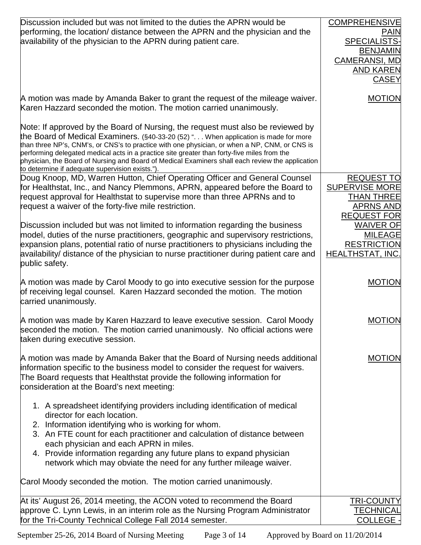| Discussion included but was not limited to the duties the APRN would be<br>performing, the location/ distance between the APRN and the physician and the<br>availability of the physician to the APRN during patient care.                                                                                                                                                                                                                                                                                                    | <b>COMPREHENSIVE</b><br><b>PAIN</b><br>SPECIALISTS-<br><b>BENJAMIN</b><br><b>CAMERANSI, MD</b><br><b>AND KAREN</b><br><b>CASEY</b> |
|-------------------------------------------------------------------------------------------------------------------------------------------------------------------------------------------------------------------------------------------------------------------------------------------------------------------------------------------------------------------------------------------------------------------------------------------------------------------------------------------------------------------------------|------------------------------------------------------------------------------------------------------------------------------------|
| A motion was made by Amanda Baker to grant the request of the mileage waiver.<br>Karen Hazzard seconded the motion. The motion carried unanimously.                                                                                                                                                                                                                                                                                                                                                                           | <b>MOTION</b>                                                                                                                      |
| Note: If approved by the Board of Nursing, the request must also be reviewed by<br>the Board of Medical Examiners. (§40-33-20 (52) " When application is made for more<br>than three NP's, CNM's, or CNS's to practice with one physician, or when a NP, CNM, or CNS is<br>performing delegated medical acts in a practice site greater than forty-five miles from the<br>physician, the Board of Nursing and Board of Medical Examiners shall each review the application<br>to determine if adequate supervision exists."). |                                                                                                                                    |
| Doug Knoop, MD, Warren Hutton, Chief Operating Officer and General Counsel<br>for Healthstat, Inc., and Nancy Plemmons, APRN, appeared before the Board to<br>request approval for Healthstat to supervise more than three APRNs and to<br>request a waiver of the forty-five mile restriction.                                                                                                                                                                                                                               | <b>REQUEST TO</b><br><b>SUPERVISE MORE</b><br><b>THAN THREE</b><br><b>APRNS AND</b><br><b>REQUEST FOR</b>                          |
| Discussion included but was not limited to information regarding the business<br>model, duties of the nurse practitioners, geographic and supervisory restrictions,<br>expansion plans, potential ratio of nurse practitioners to physicians including the<br>availability/ distance of the physician to nurse practitioner during patient care and<br>public safety.                                                                                                                                                         | <b>WAIVER OF</b><br><b>MILEAGE</b><br><b>RESTRICTION</b><br><b>HEALTHSTAT, INC.</b>                                                |
| A motion was made by Carol Moody to go into executive session for the purpose<br>of receiving legal counsel. Karen Hazzard seconded the motion. The motion<br>carried unanimously.                                                                                                                                                                                                                                                                                                                                            | <b>MOTION</b>                                                                                                                      |
| A motion was made by Karen Hazzard to leave executive session. Carol Moody<br>seconded the motion. The motion carried unanimously. No official actions were<br>taken during executive session.                                                                                                                                                                                                                                                                                                                                | <b>MOTION</b>                                                                                                                      |
| A motion was made by Amanda Baker that the Board of Nursing needs additional<br>information specific to the business model to consider the request for waivers.<br>The Board requests that Healthstat provide the following information for<br>consideration at the Board's next meeting:                                                                                                                                                                                                                                     | <b>MOTION</b>                                                                                                                      |
| 1. A spreadsheet identifying providers including identification of medical<br>director for each location.<br>2. Information identifying who is working for whom.<br>3. An FTE count for each practitioner and calculation of distance between<br>each physician and each APRN in miles.<br>4. Provide information regarding any future plans to expand physician<br>network which may obviate the need for any further mileage waiver.                                                                                        |                                                                                                                                    |
| Carol Moody seconded the motion. The motion carried unanimously.                                                                                                                                                                                                                                                                                                                                                                                                                                                              |                                                                                                                                    |
| At its' August 26, 2014 meeting, the ACON voted to recommend the Board<br>approve C. Lynn Lewis, in an interim role as the Nursing Program Administrator<br>for the Tri-County Technical College Fall 2014 semester.                                                                                                                                                                                                                                                                                                          | <b>TRI-COUNTY</b><br><b>TECHNICAL</b><br>COLLEGE -                                                                                 |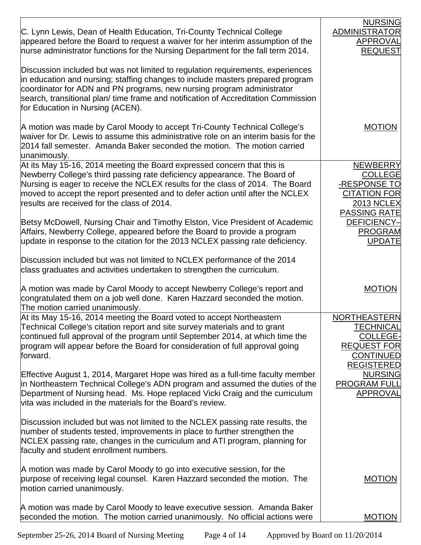|                                                                                                                                                                                                                                                                                                                                                                         | <b>NURSING</b>                                                                                                       |
|-------------------------------------------------------------------------------------------------------------------------------------------------------------------------------------------------------------------------------------------------------------------------------------------------------------------------------------------------------------------------|----------------------------------------------------------------------------------------------------------------------|
| C. Lynn Lewis, Dean of Health Education, Tri-County Technical College<br>appeared before the Board to request a waiver for her interim assumption of the<br>nurse administrator functions for the Nursing Department for the fall term 2014.                                                                                                                            | <b>ADMINISTRATOR</b><br>APPROVAL<br><b>REQUEST</b>                                                                   |
| Discussion included but was not limited to regulation requirements, experiences<br>in education and nursing; staffing changes to include masters prepared program<br>coordinator for ADN and PN programs, new nursing program administrator<br>search, transitional plan/ time frame and notification of Accreditation Commission<br>for Education in Nursing (ACEN).   |                                                                                                                      |
| A motion was made by Carol Moody to accept Tri-County Technical College's<br>waiver for Dr. Lewis to assume this administrative role on an interim basis for the<br>2014 fall semester. Amanda Baker seconded the motion. The motion carried<br>unanimously.                                                                                                            | <b>MOTION</b>                                                                                                        |
| At its May 15-16, 2014 meeting the Board expressed concern that this is<br>Newberry College's third passing rate deficiency appearance. The Board of<br>Nursing is eager to receive the NCLEX results for the class of 2014. The Board<br>moved to accept the report presented and to defer action until after the NCLEX<br>results are received for the class of 2014. | <b>NEWBERRY</b><br><b>COLLEGE</b><br>-RESPONSE TO<br><b>CITATION FOR</b><br><b>2013 NCLEX</b><br><b>PASSING RATE</b> |
| Betsy McDowell, Nursing Chair and Timothy Elston, Vice President of Academic<br>Affairs, Newberry College, appeared before the Board to provide a program<br>update in response to the citation for the 2013 NCLEX passing rate deficiency.                                                                                                                             | <b>DEFICIENCY-</b><br><b>PROGRAM</b><br><b>UPDATE</b>                                                                |
| Discussion included but was not limited to NCLEX performance of the 2014<br>class graduates and activities undertaken to strengthen the curriculum.                                                                                                                                                                                                                     |                                                                                                                      |
| A motion was made by Carol Moody to accept Newberry College's report and<br>congratulated them on a job well done. Karen Hazzard seconded the motion.<br>The motion carried unanimously.                                                                                                                                                                                | <b>MOTION</b>                                                                                                        |
| At its May 15-16, 2014 meeting the Board voted to accept Northeastern<br>Technical College's citation report and site survey materials and to grant<br>continued full approval of the program until September 2014, at which time the<br>program will appear before the Board for consideration of full approval going<br>forward.                                      | <b>NORTHEASTERN</b><br>TECHNICAL<br><b>COLLEGE-</b><br><b>REQUEST FOR</b><br><b>CONTINUED</b><br><b>REGISTERED</b>   |
| Effective August 1, 2014, Margaret Hope was hired as a full-time faculty member<br>in Northeastern Technical College's ADN program and assumed the duties of the<br>Department of Nursing head. Ms. Hope replaced Vicki Craig and the curriculum<br>vita was included in the materials for the Board's review.                                                          | <b>NURSING</b><br><b>PROGRAM FULL</b><br><b>APPROVAL</b>                                                             |
| Discussion included but was not limited to the NCLEX passing rate results, the<br>number of students tested, improvements in place to further strengthen the<br>NCLEX passing rate, changes in the curriculum and ATI program, planning for<br>faculty and student enrollment numbers.                                                                                  |                                                                                                                      |
| A motion was made by Carol Moody to go into executive session, for the<br>purpose of receiving legal counsel. Karen Hazzard seconded the motion. The<br>motion carried unanimously.                                                                                                                                                                                     | <b>MOTION</b>                                                                                                        |
| A motion was made by Carol Moody to leave executive session. Amanda Baker<br>seconded the motion. The motion carried unanimously. No official actions were                                                                                                                                                                                                              | <b>MOTION</b>                                                                                                        |

September 25-26, 2014 Board of Nursing Meeting Page 4 of 14 Approved by Board on 11/20/2014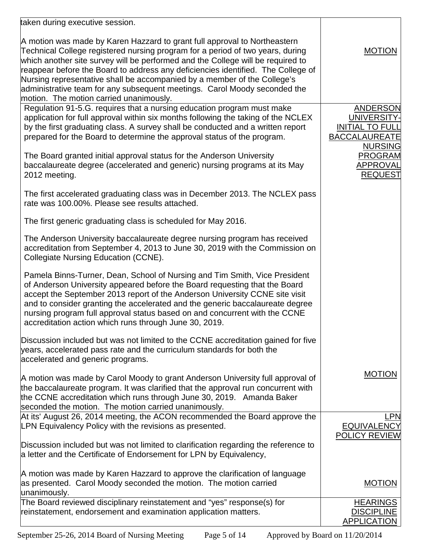| taken during executive session.                                                                                                                                                                                                                                                                                                                                                                                                                                                                                                        |                                                                           |
|----------------------------------------------------------------------------------------------------------------------------------------------------------------------------------------------------------------------------------------------------------------------------------------------------------------------------------------------------------------------------------------------------------------------------------------------------------------------------------------------------------------------------------------|---------------------------------------------------------------------------|
| A motion was made by Karen Hazzard to grant full approval to Northeastern<br>Technical College registered nursing program for a period of two years, during<br>which another site survey will be performed and the College will be required to<br>reappear before the Board to address any deficiencies identified. The College of<br>Nursing representative shall be accompanied by a member of the College's<br>administrative team for any subsequent meetings. Carol Moody seconded the<br>motion. The motion carried unanimously. | <b>MOTION</b>                                                             |
| Regulation 91-5.G. requires that a nursing education program must make<br>application for full approval within six months following the taking of the NCLEX<br>by the first graduating class. A survey shall be conducted and a written report<br>prepared for the Board to determine the approval status of the program.                                                                                                                                                                                                              | ANDERSON<br>UNIVERSITY-<br><b>INITIAL TO FULL</b><br><b>BACCALAUREATE</b> |
| The Board granted initial approval status for the Anderson University<br>baccalaureate degree (accelerated and generic) nursing programs at its May<br>2012 meeting.                                                                                                                                                                                                                                                                                                                                                                   | <b>NURSING</b><br><b>PROGRAM</b><br><b>APPROVAL</b><br><b>REQUEST</b>     |
| The first accelerated graduating class was in December 2013. The NCLEX pass<br>rate was 100.00%. Please see results attached.                                                                                                                                                                                                                                                                                                                                                                                                          |                                                                           |
| The first generic graduating class is scheduled for May 2016.                                                                                                                                                                                                                                                                                                                                                                                                                                                                          |                                                                           |
| The Anderson University baccalaureate degree nursing program has received<br>accreditation from September 4, 2013 to June 30, 2019 with the Commission on<br>Collegiate Nursing Education (CCNE).                                                                                                                                                                                                                                                                                                                                      |                                                                           |
| Pamela Binns-Turner, Dean, School of Nursing and Tim Smith, Vice President<br>of Anderson University appeared before the Board requesting that the Board<br>accept the September 2013 report of the Anderson University CCNE site visit<br>and to consider granting the accelerated and the generic baccalaureate degree<br>nursing program full approval status based on and concurrent with the CCNE<br>accreditation action which runs through June 30, 2019.                                                                       |                                                                           |
| Discussion included but was not limited to the CCNE accreditation gained for five<br>years, accelerated pass rate and the curriculum standards for both the<br>accelerated and generic programs.                                                                                                                                                                                                                                                                                                                                       |                                                                           |
| A motion was made by Carol Moody to grant Anderson University full approval of<br>the baccalaureate program. It was clarified that the approval run concurrent with<br>the CCNE accreditation which runs through June 30, 2019. Amanda Baker<br>seconded the motion. The motion carried unanimously.                                                                                                                                                                                                                                   | <b>MOTION</b>                                                             |
| At its' August 26, 2014 meeting, the ACON recommended the Board approve the<br>LPN Equivalency Policy with the revisions as presented.                                                                                                                                                                                                                                                                                                                                                                                                 | LPN<br><b>EQUIVALENCY</b><br><b>POLICY REVIEW</b>                         |
| Discussion included but was not limited to clarification regarding the reference to<br>a letter and the Certificate of Endorsement for LPN by Equivalency,                                                                                                                                                                                                                                                                                                                                                                             |                                                                           |
| A motion was made by Karen Hazzard to approve the clarification of language<br>as presented. Carol Moody seconded the motion. The motion carried<br>unanimously.                                                                                                                                                                                                                                                                                                                                                                       | <b>MOTION</b>                                                             |
| The Board reviewed disciplinary reinstatement and "yes" response(s) for<br>reinstatement, endorsement and examination application matters.                                                                                                                                                                                                                                                                                                                                                                                             | <b>HEARINGS</b><br><b>DISCIPLINE</b><br><b>APPLICATION</b>                |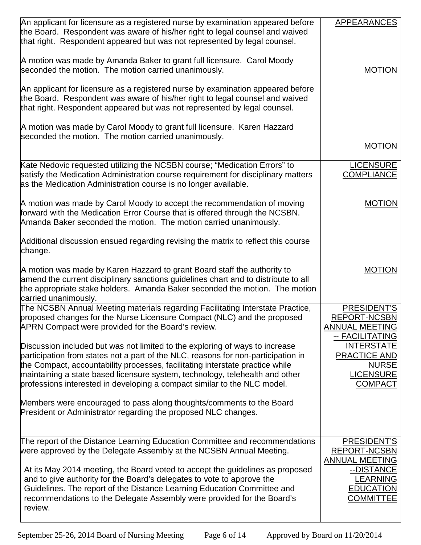| An applicant for licensure as a registered nurse by examination appeared before<br>the Board. Respondent was aware of his/her right to legal counsel and waived<br>that right. Respondent appeared but was not represented by legal counsel.                                                                                                                                                                                                                                  | <b>APPEARANCES</b>                                                                                                                   |
|-------------------------------------------------------------------------------------------------------------------------------------------------------------------------------------------------------------------------------------------------------------------------------------------------------------------------------------------------------------------------------------------------------------------------------------------------------------------------------|--------------------------------------------------------------------------------------------------------------------------------------|
| A motion was made by Amanda Baker to grant full licensure. Carol Moody<br>seconded the motion. The motion carried unanimously.                                                                                                                                                                                                                                                                                                                                                | <b>MOTION</b>                                                                                                                        |
| An applicant for licensure as a registered nurse by examination appeared before<br>the Board. Respondent was aware of his/her right to legal counsel and waived<br>that right. Respondent appeared but was not represented by legal counsel.                                                                                                                                                                                                                                  |                                                                                                                                      |
| A motion was made by Carol Moody to grant full licensure. Karen Hazzard<br>seconded the motion. The motion carried unanimously.                                                                                                                                                                                                                                                                                                                                               | <b>MOTION</b>                                                                                                                        |
|                                                                                                                                                                                                                                                                                                                                                                                                                                                                               |                                                                                                                                      |
| Kate Nedovic requested utilizing the NCSBN course; "Medication Errors" to<br>satisfy the Medication Administration course requirement for disciplinary matters<br>as the Medication Administration course is no longer available.                                                                                                                                                                                                                                             | <b>LICENSURE</b><br><b>COMPLIANCE</b>                                                                                                |
| A motion was made by Carol Moody to accept the recommendation of moving<br>forward with the Medication Error Course that is offered through the NCSBN.<br>Amanda Baker seconded the motion. The motion carried unanimously.                                                                                                                                                                                                                                                   | <b>MOTION</b>                                                                                                                        |
| Additional discussion ensued regarding revising the matrix to reflect this course<br>change.                                                                                                                                                                                                                                                                                                                                                                                  |                                                                                                                                      |
| A motion was made by Karen Hazzard to grant Board staff the authority to<br>amend the current disciplinary sanctions guidelines chart and to distribute to all<br>the appropriate stake holders. Amanda Baker seconded the motion. The motion<br>carried unanimously.                                                                                                                                                                                                         | <b>MOTION</b>                                                                                                                        |
| The NCSBN Annual Meeting materials regarding Facilitating Interstate Practice,<br>proposed changes for the Nurse Licensure Compact (NLC) and the proposed<br>APRN Compact were provided for the Board's review.                                                                                                                                                                                                                                                               | PRESIDENT'S<br><b>REPORT-NCSBN</b><br><b>ANNUAL MEETING</b><br>-- FACILITATING                                                       |
| Discussion included but was not limited to the exploring of ways to increase<br>participation from states not a part of the NLC, reasons for non-participation in<br>the Compact, accountability processes, facilitating interstate practice while<br>maintaining a state based licensure system, technology, telehealth and other<br>professions interested in developing a compact similar to the NLC model.                                                                | <b>INTERSTATE</b><br><b>PRACTICE AND</b><br><b>NURSE</b><br><b>LICENSURE</b><br><b>COMPACT</b>                                       |
| Members were encouraged to pass along thoughts/comments to the Board<br>President or Administrator regarding the proposed NLC changes.                                                                                                                                                                                                                                                                                                                                        |                                                                                                                                      |
| The report of the Distance Learning Education Committee and recommendations<br>were approved by the Delegate Assembly at the NCSBN Annual Meeting.<br>At its May 2014 meeting, the Board voted to accept the guidelines as proposed<br>and to give authority for the Board's delegates to vote to approve the<br>Guidelines. The report of the Distance Learning Education Committee and<br>recommendations to the Delegate Assembly were provided for the Board's<br>review. | PRESIDENT'S<br><b>REPORT-NCSBN</b><br><b>ANNUAL MEETING</b><br>--DISTANCE<br><b>LEARNING</b><br><b>EDUCATION</b><br><b>COMMITTEE</b> |
|                                                                                                                                                                                                                                                                                                                                                                                                                                                                               |                                                                                                                                      |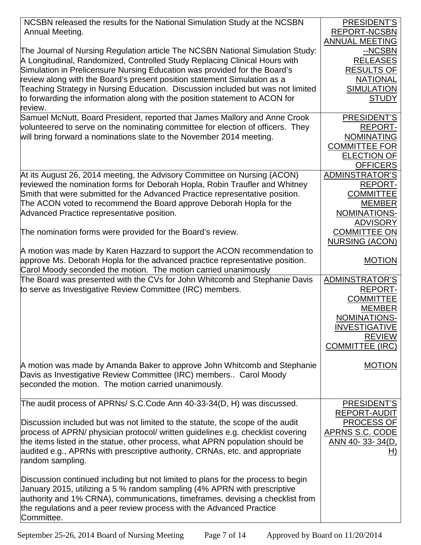| NCSBN released the results for the National Simulation Study at the NCSBN                                                                                      | PRESIDENT'S                       |
|----------------------------------------------------------------------------------------------------------------------------------------------------------------|-----------------------------------|
| Annual Meeting.                                                                                                                                                | <b>REPORT-NCSBN</b>               |
|                                                                                                                                                                | <b>ANNUAL MEETING</b>             |
| The Journal of Nursing Regulation article The NCSBN National Simulation Study:                                                                                 | --NCSBN                           |
| A Longitudinal, Randomized, Controlled Study Replacing Clinical Hours with                                                                                     | <b>RELEASES</b>                   |
| Simulation in Prelicensure Nursing Education was provided for the Board's                                                                                      | <b>RESULTS OF</b>                 |
| review along with the Board's present position statement Simulation as a                                                                                       | <b>NATIONAL</b>                   |
| Teaching Strategy in Nursing Education. Discussion included but was not limited<br>to forwarding the information along with the position statement to ACON for | <b>SIMULATION</b><br><b>STUDY</b> |
| review.                                                                                                                                                        |                                   |
| Samuel McNutt, Board President, reported that James Mallory and Anne Crook                                                                                     | PRESIDENT'S                       |
| volunteered to serve on the nominating committee for election of officers. They                                                                                | <b>REPORT-</b>                    |
| will bring forward a nominations slate to the November 2014 meeting.                                                                                           | <b>NOMINATING</b>                 |
|                                                                                                                                                                | <b>COMMITTEE FOR</b>              |
|                                                                                                                                                                | <b>ELECTION OF</b>                |
|                                                                                                                                                                | <b>OFFICERS</b>                   |
| At its August 26, 2014 meeting, the Advisory Committee on Nursing (ACON)                                                                                       | <b>ADMINSTRATOR'S</b>             |
| reviewed the nomination forms for Deborah Hopla, Robin Traufler and Whitney                                                                                    | <b>REPORT-</b>                    |
| Smith that were submitted for the Advanced Practice representative position.                                                                                   | <b>COMMITTEE</b>                  |
| The ACON voted to recommend the Board approve Deborah Hopla for the                                                                                            | <b>MEMBER</b>                     |
| Advanced Practice representative position.                                                                                                                     | NOMINATIONS-                      |
|                                                                                                                                                                | <b>ADVISORY</b>                   |
| The nomination forms were provided for the Board's review.                                                                                                     | <b>COMMITTEE ON</b>               |
| A motion was made by Karen Hazzard to support the ACON recommendation to                                                                                       | <b>NURSING (ACON)</b>             |
| approve Ms. Deborah Hopla for the advanced practice representative position.                                                                                   | <b>MOTION</b>                     |
| Carol Moody seconded the motion. The motion carried unanimously                                                                                                |                                   |
| The Board was presented with the CVs for John Whitcomb and Stephanie Davis                                                                                     | <b>ADMINSTRATOR'S</b>             |
| to serve as Investigative Review Committee (IRC) members.                                                                                                      | <b>REPORT-</b>                    |
|                                                                                                                                                                | <b>COMMITTEE</b>                  |
|                                                                                                                                                                | <b>MEMBER</b>                     |
|                                                                                                                                                                | NOMINATIONS-                      |
|                                                                                                                                                                | <b>INVESTIGATIVE</b>              |
|                                                                                                                                                                | <b>REVIEW</b>                     |
|                                                                                                                                                                | <b>COMMITTEE (IRC)</b>            |
|                                                                                                                                                                |                                   |
| A motion was made by Amanda Baker to approve John Whitcomb and Stephanie                                                                                       | <b>MOTION</b>                     |
| Davis as Investigative Review Committee (IRC) members Carol Moody                                                                                              |                                   |
| seconded the motion. The motion carried unanimously.                                                                                                           |                                   |
| The audit process of APRNs/ S.C.Code Ann 40-33-34(D, H) was discussed.                                                                                         | PRESIDENT'S                       |
|                                                                                                                                                                | REPORT-AUDIT                      |
| Discussion included but was not limited to the statute, the scope of the audit                                                                                 | PROCESS OF                        |
| process of APRN/ physician protocol/ written guidelines e.g. checklist covering                                                                                | APRNS S.C. CODE                   |
| the items listed in the statue, other process, what APRN population should be                                                                                  | <u>ANN 40-33-34(D, </u>           |
| audited e.g., APRNs with prescriptive authority, CRNAs, etc. and appropriate                                                                                   | H)                                |
| random sampling.                                                                                                                                               |                                   |
|                                                                                                                                                                |                                   |
| Discussion continued including but not limited to plans for the process to begin                                                                               |                                   |
| January 2015, utilizing a 5 % random sampling (4% APRN with prescriptive                                                                                       |                                   |
| authority and 1% CRNA), communications, timeframes, devising a checklist from                                                                                  |                                   |
| the regulations and a peer review process with the Advanced Practice<br>Committee.                                                                             |                                   |
|                                                                                                                                                                |                                   |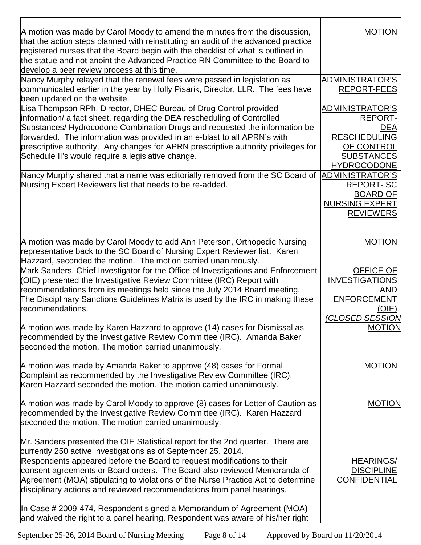| A motion was made by Carol Moody to amend the minutes from the discussion,<br>that the action steps planned with reinstituting an audit of the advanced practice<br>registered nurses that the Board begin with the checklist of what is outlined in<br>the statue and not anoint the Advanced Practice RN Committee to the Board to<br>develop a peer review process at this time.                                                              | <b>MOTION</b>                                                                                                                   |
|--------------------------------------------------------------------------------------------------------------------------------------------------------------------------------------------------------------------------------------------------------------------------------------------------------------------------------------------------------------------------------------------------------------------------------------------------|---------------------------------------------------------------------------------------------------------------------------------|
| Nancy Murphy relayed that the renewal fees were passed in legislation as<br>communicated earlier in the year by Holly Pisarik, Director, LLR. The fees have<br>been updated on the website.                                                                                                                                                                                                                                                      | <b>ADMINISTRATOR'S</b><br><b>REPORT-FEES</b>                                                                                    |
| Lisa Thompson RPh, Director, DHEC Bureau of Drug Control provided<br>information/ a fact sheet, regarding the DEA rescheduling of Controlled<br>Substances/Hydrocodone Combination Drugs and requested the information be<br>forwarded. The information was provided in an e-blast to all APRN's with<br>prescriptive authority. Any changes for APRN prescriptive authority privileges for<br>Schedule II's would require a legislative change. | <b>ADMINISTRATOR'S</b><br><b>REPORT-</b><br>DEA<br><b>RESCHEDULING</b><br>OF CONTROL<br><b>SUBSTANCES</b><br><b>HYDROCODONE</b> |
| Nancy Murphy shared that a name was editorially removed from the SC Board of<br>Nursing Expert Reviewers list that needs to be re-added.                                                                                                                                                                                                                                                                                                         | ADMINISTRATOR'S<br><b>REPORT-SC</b><br><b>BOARD OF</b><br><b>NURSING EXPERT</b><br><b>REVIEWERS</b>                             |
| A motion was made by Carol Moody to add Ann Peterson, Orthopedic Nursing<br>representative back to the SC Board of Nursing Expert Reviewer list. Karen<br>Hazzard, seconded the motion. The motion carried unanimously.                                                                                                                                                                                                                          | <b>MOTION</b>                                                                                                                   |
| Mark Sanders, Chief Investigator for the Office of Investigations and Enforcement<br>(OIE) presented the Investigative Review Committee (IRC) Report with<br>recommendations from its meetings held since the July 2014 Board meeting.<br>The Disciplinary Sanctions Guidelines Matrix is used by the IRC in making these<br>recommendations.                                                                                                    | OFFICE OF<br><b>INVESTIGATIONS</b><br>AND<br><b>ENFORCEMENT</b><br>(OIE)<br>(CLOSED SESSION                                     |
| A motion was made by Karen Hazzard to approve (14) cases for Dismissal as<br>recommended by the Investigative Review Committee (IRC). Amanda Baker<br>seconded the motion. The motion carried unanimously.                                                                                                                                                                                                                                       | <b>MOTION</b>                                                                                                                   |
| A motion was made by Amanda Baker to approve (48) cases for Formal<br>Complaint as recommended by the Investigative Review Committee (IRC).<br>Karen Hazzard seconded the motion. The motion carried unanimously.                                                                                                                                                                                                                                | <b>MOTION</b>                                                                                                                   |
| A motion was made by Carol Moody to approve (8) cases for Letter of Caution as<br>recommended by the Investigative Review Committee (IRC). Karen Hazzard<br>seconded the motion. The motion carried unanimously.                                                                                                                                                                                                                                 | <b>MOTION</b>                                                                                                                   |
| Mr. Sanders presented the OIE Statistical report for the 2nd quarter. There are<br>currently 250 active investigations as of September 25, 2014.                                                                                                                                                                                                                                                                                                 |                                                                                                                                 |
| Respondents appeared before the Board to request modifications to their<br>consent agreements or Board orders. The Board also reviewed Memoranda of<br>Agreement (MOA) stipulating to violations of the Nurse Practice Act to determine<br>disciplinary actions and reviewed recommendations from panel hearings.                                                                                                                                | <b>HEARINGS/</b><br><b>DISCIPLINE</b><br><b>CONFIDENTIAL</b>                                                                    |
| In Case # 2009-474, Respondent signed a Memorandum of Agreement (MOA)<br>and waived the right to a panel hearing. Respondent was aware of his/her right                                                                                                                                                                                                                                                                                          |                                                                                                                                 |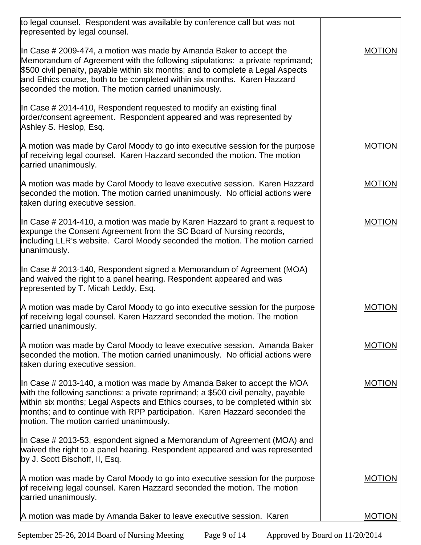| to legal counsel. Respondent was available by conference call but was not<br>represented by legal counsel.                                                                                                                                                                                                                                                                  |               |
|-----------------------------------------------------------------------------------------------------------------------------------------------------------------------------------------------------------------------------------------------------------------------------------------------------------------------------------------------------------------------------|---------------|
| In Case # 2009-474, a motion was made by Amanda Baker to accept the<br>Memorandum of Agreement with the following stipulations: a private reprimand;<br>\$500 civil penalty, payable within six months; and to complete a Legal Aspects<br>and Ethics course, both to be completed within six months. Karen Hazzard<br>seconded the motion. The motion carried unanimously. | <b>MOTION</b> |
| In Case # 2014-410, Respondent requested to modify an existing final<br>order/consent agreement. Respondent appeared and was represented by<br>Ashley S. Heslop, Esq.                                                                                                                                                                                                       |               |
| A motion was made by Carol Moody to go into executive session for the purpose<br>of receiving legal counsel. Karen Hazzard seconded the motion. The motion<br>carried unanimously.                                                                                                                                                                                          | <b>MOTION</b> |
| A motion was made by Carol Moody to leave executive session. Karen Hazzard<br>seconded the motion. The motion carried unanimously. No official actions were<br>taken during executive session.                                                                                                                                                                              | <b>MOTION</b> |
| In Case # 2014-410, a motion was made by Karen Hazzard to grant a request to<br>expunge the Consent Agreement from the SC Board of Nursing records,<br>including LLR's website. Carol Moody seconded the motion. The motion carried<br>unanimously.                                                                                                                         | <b>MOTION</b> |
| In Case # 2013-140, Respondent signed a Memorandum of Agreement (MOA)<br>and waived the right to a panel hearing. Respondent appeared and was<br>represented by T. Micah Leddy, Esq.                                                                                                                                                                                        |               |
| A motion was made by Carol Moody to go into executive session for the purpose<br>of receiving legal counsel. Karen Hazzard seconded the motion. The motion<br>carried unanimously.                                                                                                                                                                                          | <b>MOTION</b> |
| A motion was made by Carol Moody to leave executive session. Amanda Baker<br>seconded the motion. The motion carried unanimously. No official actions were<br>taken during executive session.                                                                                                                                                                               | <b>MOTION</b> |
| In Case # 2013-140, a motion was made by Amanda Baker to accept the MOA<br>with the following sanctions: a private reprimand; a \$500 civil penalty, payable<br>within six months; Legal Aspects and Ethics courses, to be completed within six<br>months; and to continue with RPP participation. Karen Hazzard seconded the<br>motion. The motion carried unanimously.    | <b>MOTION</b> |
| In Case # 2013-53, espondent signed a Memorandum of Agreement (MOA) and<br>waived the right to a panel hearing. Respondent appeared and was represented<br>by J. Scott Bischoff, II, Esq.                                                                                                                                                                                   |               |
| A motion was made by Carol Moody to go into executive session for the purpose<br>of receiving legal counsel. Karen Hazzard seconded the motion. The motion<br>carried unanimously.                                                                                                                                                                                          | <b>MOTION</b> |
| A motion was made by Amanda Baker to leave executive session. Karen                                                                                                                                                                                                                                                                                                         | <b>MOTION</b> |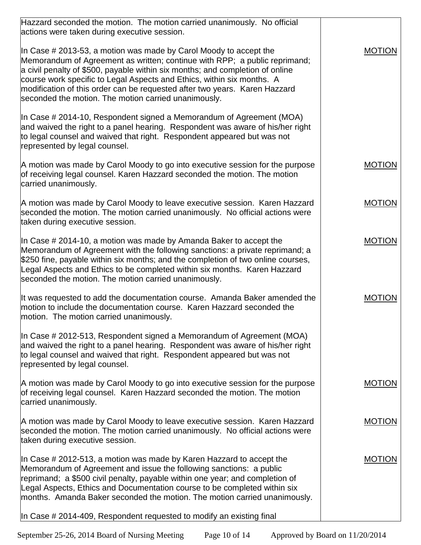| Hazzard seconded the motion. The motion carried unanimously. No official<br>actions were taken during executive session.                                                                                                                                                                                                                                                                                                                            |               |
|-----------------------------------------------------------------------------------------------------------------------------------------------------------------------------------------------------------------------------------------------------------------------------------------------------------------------------------------------------------------------------------------------------------------------------------------------------|---------------|
| In Case $\#$ 2013-53, a motion was made by Carol Moody to accept the<br>Memorandum of Agreement as written; continue with RPP; a public reprimand;<br>a civil penalty of \$500, payable within six months; and completion of online<br>course work specific to Legal Aspects and Ethics, within six months. A<br>modification of this order can be requested after two years. Karen Hazzard<br>seconded the motion. The motion carried unanimously. | <b>MOTION</b> |
| In Case # 2014-10, Respondent signed a Memorandum of Agreement (MOA)<br>and waived the right to a panel hearing. Respondent was aware of his/her right<br>to legal counsel and waived that right. Respondent appeared but was not<br>represented by legal counsel.                                                                                                                                                                                  |               |
| A motion was made by Carol Moody to go into executive session for the purpose<br>of receiving legal counsel. Karen Hazzard seconded the motion. The motion<br>carried unanimously.                                                                                                                                                                                                                                                                  | <b>MOTION</b> |
| A motion was made by Carol Moody to leave executive session. Karen Hazzard<br>seconded the motion. The motion carried unanimously. No official actions were<br>taken during executive session.                                                                                                                                                                                                                                                      | <b>MOTION</b> |
| In Case $\#$ 2014-10, a motion was made by Amanda Baker to accept the<br>Memorandum of Agreement with the following sanctions: a private reprimand; a<br>\$250 fine, payable within six months; and the completion of two online courses,<br>Legal Aspects and Ethics to be completed within six months. Karen Hazzard<br>seconded the motion. The motion carried unanimously.                                                                      | <b>MOTION</b> |
| It was requested to add the documentation course. Amanda Baker amended the<br>motion to include the documentation course. Karen Hazzard seconded the<br>motion. The motion carried unanimously.                                                                                                                                                                                                                                                     | <b>MOTION</b> |
| In Case $\#$ 2012-513, Respondent signed a Memorandum of Agreement (MOA)<br>and waived the right to a panel hearing. Respondent was aware of his/her right<br>to legal counsel and waived that right. Respondent appeared but was not<br>represented by legal counsel.                                                                                                                                                                              |               |
| A motion was made by Carol Moody to go into executive session for the purpose<br>of receiving legal counsel. Karen Hazzard seconded the motion. The motion<br>carried unanimously.                                                                                                                                                                                                                                                                  | <b>MOTION</b> |
| A motion was made by Carol Moody to leave executive session. Karen Hazzard<br>seconded the motion. The motion carried unanimously. No official actions were<br>taken during executive session.                                                                                                                                                                                                                                                      | <b>MOTION</b> |
| In Case # 2012-513, a motion was made by Karen Hazzard to accept the<br>Memorandum of Agreement and issue the following sanctions: a public<br>reprimand; a \$500 civil penalty, payable within one year; and completion of<br>Legal Aspects, Ethics and Documentation course to be completed within six<br>months. Amanda Baker seconded the motion. The motion carried unanimously.                                                               | <b>MOTION</b> |
| In Case # 2014-409, Respondent requested to modify an existing final                                                                                                                                                                                                                                                                                                                                                                                |               |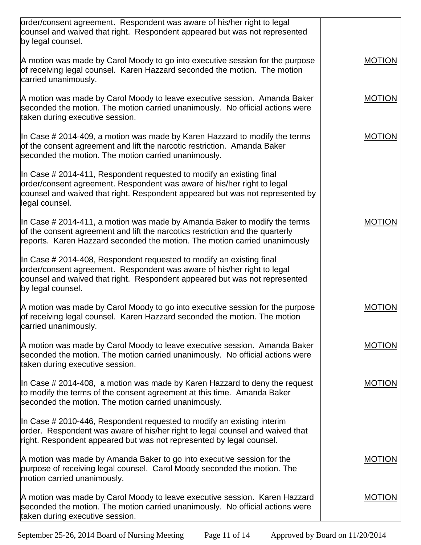| order/consent agreement. Respondent was aware of his/her right to legal                                                                                                                                                                            |               |
|----------------------------------------------------------------------------------------------------------------------------------------------------------------------------------------------------------------------------------------------------|---------------|
| counsel and waived that right. Respondent appeared but was not represented<br>by legal counsel.                                                                                                                                                    |               |
| A motion was made by Carol Moody to go into executive session for the purpose<br>of receiving legal counsel. Karen Hazzard seconded the motion. The motion<br>carried unanimously.                                                                 | <b>MOTION</b> |
| A motion was made by Carol Moody to leave executive session. Amanda Baker<br>seconded the motion. The motion carried unanimously. No official actions were<br>taken during executive session.                                                      | <b>MOTION</b> |
| In Case # 2014-409, a motion was made by Karen Hazzard to modify the terms<br>of the consent agreement and lift the narcotic restriction. Amanda Baker<br>seconded the motion. The motion carried unanimously.                                     | <b>MOTION</b> |
| In Case # 2014-411, Respondent requested to modify an existing final<br>order/consent agreement. Respondent was aware of his/her right to legal<br>counsel and waived that right. Respondent appeared but was not represented by<br>legal counsel. |               |
| In Case # 2014-411, a motion was made by Amanda Baker to modify the terms<br>of the consent agreement and lift the narcotics restriction and the quarterly<br>reports. Karen Hazzard seconded the motion. The motion carried unanimously           | <b>MOTION</b> |
| In Case # 2014-408, Respondent requested to modify an existing final<br>order/consent agreement. Respondent was aware of his/her right to legal<br>counsel and waived that right. Respondent appeared but was not represented<br>by legal counsel. |               |
| A motion was made by Carol Moody to go into executive session for the purpose<br>of receiving legal counsel. Karen Hazzard seconded the motion. The motion<br>carried unanimously.                                                                 | <b>MOTION</b> |
| A motion was made by Carol Moody to leave executive session. Amanda Baker<br>seconded the motion. The motion carried unanimously. No official actions were<br>taken during executive session.                                                      | <b>MOTION</b> |
| In Case $\#$ 2014-408, a motion was made by Karen Hazzard to deny the request<br>to modify the terms of the consent agreement at this time. Amanda Baker<br>seconded the motion. The motion carried unanimously.                                   | <b>MOTION</b> |
| In Case # 2010-446, Respondent requested to modify an existing interim<br>order. Respondent was aware of his/her right to legal counsel and waived that<br>right. Respondent appeared but was not represented by legal counsel.                    |               |
| A motion was made by Amanda Baker to go into executive session for the<br>purpose of receiving legal counsel. Carol Moody seconded the motion. The<br>motion carried unanimously.                                                                  | <b>MOTION</b> |
| A motion was made by Carol Moody to leave executive session. Karen Hazzard<br>seconded the motion. The motion carried unanimously. No official actions were<br>taken during executive session.                                                     | <b>MOTION</b> |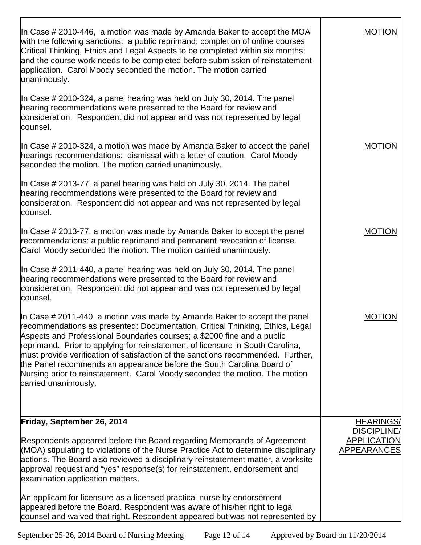| In Case # 2010-446, a motion was made by Amanda Baker to accept the MOA<br>with the following sanctions: a public reprimand; completion of online courses<br>Critical Thinking, Ethics and Legal Aspects to be completed within six months;<br>and the course work needs to be completed before submission of reinstatement<br>application. Carol Moody seconded the motion. The motion carried<br>unanimously.                                                                                                                                                                             | <b>MOTION</b>                                                              |
|---------------------------------------------------------------------------------------------------------------------------------------------------------------------------------------------------------------------------------------------------------------------------------------------------------------------------------------------------------------------------------------------------------------------------------------------------------------------------------------------------------------------------------------------------------------------------------------------|----------------------------------------------------------------------------|
| In Case # 2010-324, a panel hearing was held on July 30, 2014. The panel<br>hearing recommendations were presented to the Board for review and<br>consideration. Respondent did not appear and was not represented by legal<br>counsel.                                                                                                                                                                                                                                                                                                                                                     |                                                                            |
| In Case # 2010-324, a motion was made by Amanda Baker to accept the panel<br>hearings recommendations: dismissal with a letter of caution. Carol Moody<br>seconded the motion. The motion carried unanimously.                                                                                                                                                                                                                                                                                                                                                                              | <b>MOTION</b>                                                              |
| In Case # 2013-77, a panel hearing was held on July 30, 2014. The panel<br>hearing recommendations were presented to the Board for review and<br>consideration. Respondent did not appear and was not represented by legal<br>counsel.                                                                                                                                                                                                                                                                                                                                                      |                                                                            |
| In Case # 2013-77, a motion was made by Amanda Baker to accept the panel<br>recommendations: a public reprimand and permanent revocation of license.<br>Carol Moody seconded the motion. The motion carried unanimously.                                                                                                                                                                                                                                                                                                                                                                    | <b>MOTION</b>                                                              |
| In Case # 2011-440, a panel hearing was held on July 30, 2014. The panel<br>hearing recommendations were presented to the Board for review and<br>consideration. Respondent did not appear and was not represented by legal<br>counsel.                                                                                                                                                                                                                                                                                                                                                     |                                                                            |
| In Case # 2011-440, a motion was made by Amanda Baker to accept the panel<br>recommendations as presented: Documentation, Critical Thinking, Ethics, Legal<br>Aspects and Professional Boundaries courses; a \$2000 fine and a public<br>reprimand. Prior to applying for reinstatement of licensure in South Carolina,<br>must provide verification of satisfaction of the sanctions recommended. Further,<br>the Panel recommends an appearance before the South Carolina Board of<br>Nursing prior to reinstatement. Carol Moody seconded the motion. The motion<br>carried unanimously. | MOTION                                                                     |
| Friday, September 26, 2014<br>Respondents appeared before the Board regarding Memoranda of Agreement<br>(MOA) stipulating to violations of the Nurse Practice Act to determine disciplinary<br>actions. The Board also reviewed a disciplinary reinstatement matter, a worksite<br>approval request and "yes" response(s) for reinstatement, endorsement and<br>examination application matters.                                                                                                                                                                                            | <b>HEARINGS/</b><br><b>DISCIPLINE</b><br><b>APPLICATION</b><br>APPEARANCES |
| An applicant for licensure as a licensed practical nurse by endorsement<br>appeared before the Board. Respondent was aware of his/her right to legal<br>counsel and waived that right. Respondent appeared but was not represented by                                                                                                                                                                                                                                                                                                                                                       |                                                                            |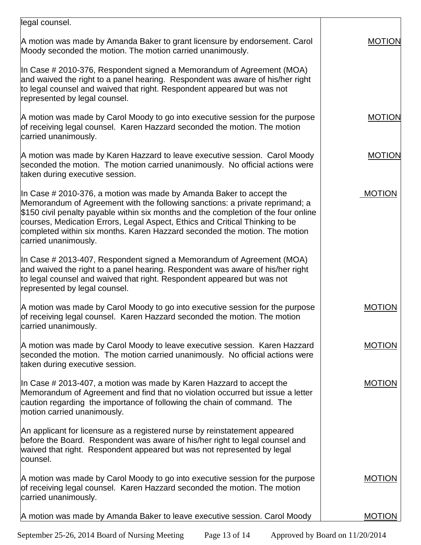| legal counsel.                                                                                                                                                                                                                                                                                                                                                                                                                      |               |
|-------------------------------------------------------------------------------------------------------------------------------------------------------------------------------------------------------------------------------------------------------------------------------------------------------------------------------------------------------------------------------------------------------------------------------------|---------------|
| A motion was made by Amanda Baker to grant licensure by endorsement. Carol<br>Moody seconded the motion. The motion carried unanimously.                                                                                                                                                                                                                                                                                            | <b>MOTION</b> |
| In Case $\#$ 2010-376, Respondent signed a Memorandum of Agreement (MOA)<br>and waived the right to a panel hearing. Respondent was aware of his/her right<br>to legal counsel and waived that right. Respondent appeared but was not<br>represented by legal counsel.                                                                                                                                                              |               |
| A motion was made by Carol Moody to go into executive session for the purpose<br>of receiving legal counsel. Karen Hazzard seconded the motion. The motion<br>carried unanimously.                                                                                                                                                                                                                                                  | <b>MOTION</b> |
| A motion was made by Karen Hazzard to leave executive session. Carol Moody<br>seconded the motion. The motion carried unanimously. No official actions were<br>taken during executive session.                                                                                                                                                                                                                                      | <b>MOTION</b> |
| In Case $\#$ 2010-376, a motion was made by Amanda Baker to accept the<br>Memorandum of Agreement with the following sanctions: a private reprimand; a<br>\$150 civil penalty payable within six months and the completion of the four online<br>courses, Medication Errors, Legal Aspect, Ethics and Critical Thinking to be<br>completed within six months. Karen Hazzard seconded the motion. The motion<br>carried unanimously. | <b>MOTION</b> |
| In Case # 2013-407, Respondent signed a Memorandum of Agreement (MOA)<br>and waived the right to a panel hearing. Respondent was aware of his/her right<br>to legal counsel and waived that right. Respondent appeared but was not<br>represented by legal counsel.                                                                                                                                                                 |               |
| A motion was made by Carol Moody to go into executive session for the purpose<br>of receiving legal counsel. Karen Hazzard seconded the motion. The motion<br>carried unanimously.                                                                                                                                                                                                                                                  | <b>MOTION</b> |
| A motion was made by Carol Moody to leave executive session. Karen Hazzard<br>seconded the motion. The motion carried unanimously. No official actions were<br>taken during executive session.                                                                                                                                                                                                                                      | <b>MOTION</b> |
| In Case $\#$ 2013-407, a motion was made by Karen Hazzard to accept the<br>Memorandum of Agreement and find that no violation occurred but issue a letter<br>caution regarding the importance of following the chain of command. The<br>motion carried unanimously.                                                                                                                                                                 | <b>MOTION</b> |
| An applicant for licensure as a registered nurse by reinstatement appeared<br>before the Board. Respondent was aware of his/her right to legal counsel and<br>waived that right. Respondent appeared but was not represented by legal<br>counsel.                                                                                                                                                                                   |               |
| A motion was made by Carol Moody to go into executive session for the purpose<br>of receiving legal counsel. Karen Hazzard seconded the motion. The motion<br>carried unanimously.                                                                                                                                                                                                                                                  | <b>MOTION</b> |
| A motion was made by Amanda Baker to leave executive session. Carol Moody                                                                                                                                                                                                                                                                                                                                                           | <b>MOTION</b> |